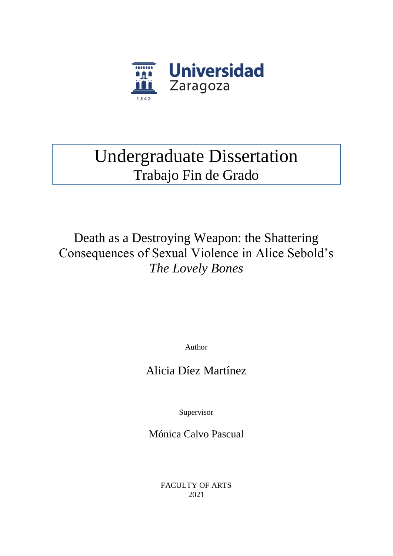

# Undergraduate Dissertation Trabajo Fin de Grado

Death as a Destroying Weapon: the Shattering Consequences of Sexual Violence in Alice Sebold's *The Lovely Bones*

Author

## Alicia Díez Martínez

Supervisor

Mónica Calvo Pascual

FACULTY OF ARTS 2021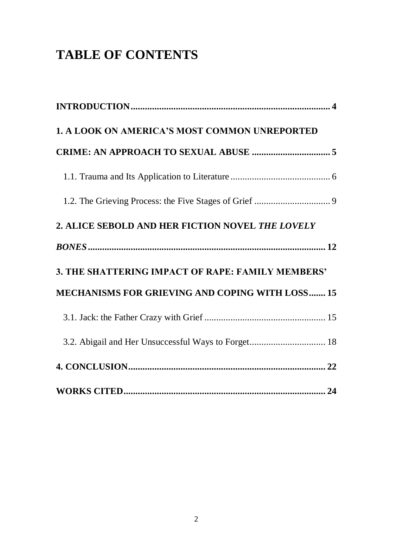# **TABLE OF CONTENTS**

| 1. A LOOK ON AMERICA'S MOST COMMON UNREPORTED     |  |
|---------------------------------------------------|--|
|                                                   |  |
|                                                   |  |
|                                                   |  |
| 2. ALICE SEBOLD AND HER FICTION NOVEL THE LOVELY  |  |
|                                                   |  |
| 3. THE SHATTERING IMPACT OF RAPE: FAMILY MEMBERS' |  |
| MECHANISMS FOR GRIEVING AND COPING WITH LOSS 15   |  |
|                                                   |  |
|                                                   |  |
|                                                   |  |
|                                                   |  |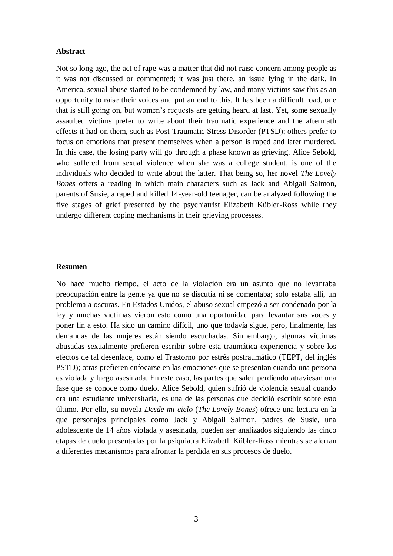#### **Abstract**

Not so long ago, the act of rape was a matter that did not raise concern among people as it was not discussed or commented; it was just there, an issue lying in the dark. In America, sexual abuse started to be condemned by law, and many victims saw this as an opportunity to raise their voices and put an end to this. It has been a difficult road, one that is still going on, but women's requests are getting heard at last. Yet, some sexually assaulted victims prefer to write about their traumatic experience and the aftermath effects it had on them, such as Post-Traumatic Stress Disorder (PTSD); others prefer to focus on emotions that present themselves when a person is raped and later murdered. In this case, the losing party will go through a phase known as grieving. Alice Sebold, who suffered from sexual violence when she was a college student, is one of the individuals who decided to write about the latter. That being so, her novel *The Lovely Bones* offers a reading in which main characters such as Jack and Abigail Salmon, parents of Susie, a raped and killed 14-year-old teenager, can be analyzed following the five stages of grief presented by the psychiatrist Elizabeth Kübler-Ross while they undergo different coping mechanisms in their grieving processes.

#### **Resumen**

No hace mucho tiempo, el acto de la violación era un asunto que no levantaba preocupación entre la gente ya que no se discutía ni se comentaba; solo estaba allí, un problema a oscuras. En Estados Unidos, el abuso sexual empezó a ser condenado por la ley y muchas víctimas vieron esto como una oportunidad para levantar sus voces y poner fin a esto. Ha sido un camino difícil, uno que todavía sigue, pero, finalmente, las demandas de las mujeres están siendo escuchadas. Sin embargo, algunas víctimas abusadas sexualmente prefieren escribir sobre esta traumática experiencia y sobre los efectos de tal desenlace, como el Trastorno por estrés postraumático (TEPT, del inglés PSTD); otras prefieren enfocarse en las emociones que se presentan cuando una persona es violada y luego asesinada. En este caso, las partes que salen perdiendo atraviesan una fase que se conoce como duelo. Alice Sebold, quien sufrió de violencia sexual cuando era una estudiante universitaria, es una de las personas que decidió escribir sobre esto último. Por ello, su novela *Desde mi cielo* (*The Lovely Bones*) ofrece una lectura en la que personajes principales como Jack y Abigail Salmon, padres de Susie, una adolescente de 14 años violada y asesinada, pueden ser analizados siguiendo las cinco etapas de duelo presentadas por la psiquiatra Elizabeth Kübler-Ross mientras se aferran a diferentes mecanismos para afrontar la perdida en sus procesos de duelo.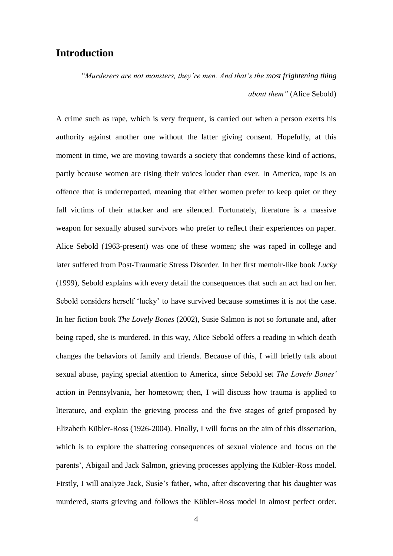#### **Introduction**

*"Murderers are not monsters, they're men. And that's the most frightening thing about them"* (Alice Sebold)

A crime such as rape, which is very frequent, is carried out when a person exerts his authority against another one without the latter giving consent. Hopefully, at this moment in time, we are moving towards a society that condemns these kind of actions, partly because women are rising their voices louder than ever. In America, rape is an offence that is underreported, meaning that either women prefer to keep quiet or they fall victims of their attacker and are silenced. Fortunately, literature is a massive weapon for sexually abused survivors who prefer to reflect their experiences on paper. Alice Sebold (1963-present) was one of these women; she was raped in college and later suffered from Post-Traumatic Stress Disorder. In her first memoir-like book *Lucky* (1999), Sebold explains with every detail the consequences that such an act had on her. Sebold considers herself 'lucky' to have survived because sometimes it is not the case. In her fiction book *The Lovely Bones* (2002), Susie Salmon is not so fortunate and, after being raped, she is murdered. In this way, Alice Sebold offers a reading in which death changes the behaviors of family and friends. Because of this, I will briefly talk about sexual abuse, paying special attention to America, since Sebold set *The Lovely Bones'* action in Pennsylvania, her hometown; then, I will discuss how trauma is applied to literature, and explain the grieving process and the five stages of grief proposed by Elizabeth Kübler-Ross (1926-2004). Finally, I will focus on the aim of this dissertation, which is to explore the shattering consequences of sexual violence and focus on the parents', Abigail and Jack Salmon, grieving processes applying the Kübler-Ross model. Firstly, I will analyze Jack, Susie's father, who, after discovering that his daughter was murdered, starts grieving and follows the Kübler-Ross model in almost perfect order.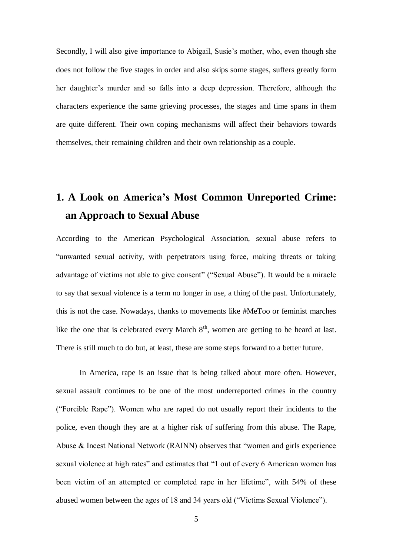Secondly, I will also give importance to Abigail, Susie's mother, who, even though she does not follow the five stages in order and also skips some stages, suffers greatly form her daughter's murder and so falls into a deep depression. Therefore, although the characters experience the same grieving processes, the stages and time spans in them are quite different. Their own coping mechanisms will affect their behaviors towards themselves, their remaining children and their own relationship as a couple.

## **1. A Look on America's Most Common Unreported Crime: an Approach to Sexual Abuse**

According to the American Psychological Association, sexual abuse refers to "unwanted sexual activity, with perpetrators using force, making threats or taking advantage of victims not able to give consent" ("Sexual Abuse"). It would be a miracle to say that sexual violence is a term no longer in use, a thing of the past. Unfortunately, this is not the case. Nowadays, thanks to movements like #MeToo or feminist marches like the one that is celebrated every March  $8<sup>th</sup>$ , women are getting to be heard at last. There is still much to do but, at least, these are some steps forward to a better future.

In America, rape is an issue that is being talked about more often. However, sexual assault continues to be one of the most underreported crimes in the country ("Forcible Rape"). Women who are raped do not usually report their incidents to the police, even though they are at a higher risk of suffering from this abuse. The Rape, Abuse & Incest National Network (RAINN) observes that "women and girls experience sexual violence at high rates" and estimates that "1 out of every 6 American women has been victim of an attempted or completed rape in her lifetime", with 54% of these abused women between the ages of 18 and 34 years old ("Victims Sexual Violence").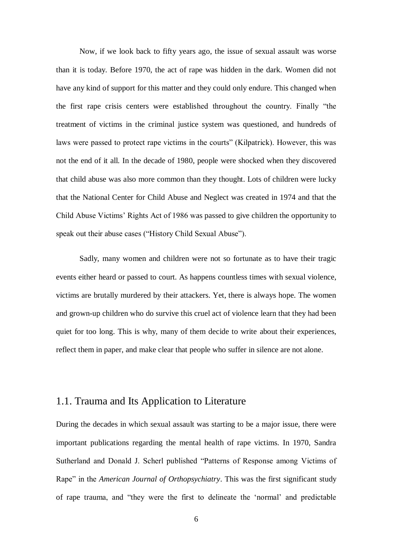Now, if we look back to fifty years ago, the issue of sexual assault was worse than it is today. Before 1970, the act of rape was hidden in the dark. Women did not have any kind of support for this matter and they could only endure. This changed when the first rape crisis centers were established throughout the country. Finally "the treatment of victims in the criminal justice system was questioned, and hundreds of laws were passed to protect rape victims in the courts" (Kilpatrick). However, this was not the end of it all. In the decade of 1980, people were shocked when they discovered that child abuse was also more common than they thought. Lots of children were lucky that the National Center for Child Abuse and Neglect was created in 1974 and that the Child Abuse Victims' Rights Act of 1986 was passed to give children the opportunity to speak out their abuse cases ("History Child Sexual Abuse").

Sadly, many women and children were not so fortunate as to have their tragic events either heard or passed to court. As happens countless times with sexual violence, victims are brutally murdered by their attackers. Yet, there is always hope. The women and grown-up children who do survive this cruel act of violence learn that they had been quiet for too long. This is why, many of them decide to write about their experiences, reflect them in paper, and make clear that people who suffer in silence are not alone.

#### 1.1. Trauma and Its Application to Literature

During the decades in which sexual assault was starting to be a major issue, there were important publications regarding the mental health of rape victims. In 1970, Sandra Sutherland and Donald J. Scherl published "Patterns of Response among Victims of Rape" in the *American Journal of Orthopsychiatry*. This was the first significant study of rape trauma, and "they were the first to delineate the 'normal' and predictable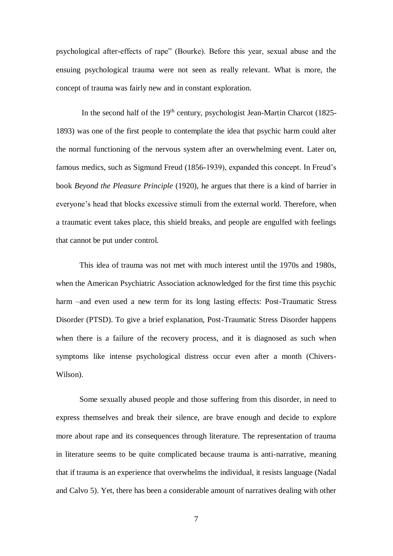psychological after-effects of rape" (Bourke). Before this year, sexual abuse and the ensuing psychological trauma were not seen as really relevant. What is more, the concept of trauma was fairly new and in constant exploration.

In the second half of the 19<sup>th</sup> century, psychologist Jean-Martin Charcot (1825-1893) was one of the first people to contemplate the idea that psychic harm could alter the normal functioning of the nervous system after an overwhelming event. Later on, famous medics, such as Sigmund Freud (1856-1939), expanded this concept. In Freud's book *Beyond the Pleasure Principle* (1920), he argues that there is a kind of barrier in everyone's head that blocks excessive stimuli from the external world. Therefore, when a traumatic event takes place, this shield breaks, and people are engulfed with feelings that cannot be put under control.

This idea of trauma was not met with much interest until the 1970s and 1980s, when the American Psychiatric Association acknowledged for the first time this psychic harm –and even used a new term for its long lasting effects: Post-Traumatic Stress Disorder (PTSD). To give a brief explanation, Post-Traumatic Stress Disorder happens when there is a failure of the recovery process, and it is diagnosed as such when symptoms like intense psychological distress occur even after a month (Chivers-Wilson).

Some sexually abused people and those suffering from this disorder, in need to express themselves and break their silence, are brave enough and decide to explore more about rape and its consequences through literature. The representation of trauma in literature seems to be quite complicated because trauma is anti-narrative, meaning that if trauma is an experience that overwhelms the individual, it resists language (Nadal and Calvo 5). Yet, there has been a considerable amount of narratives dealing with other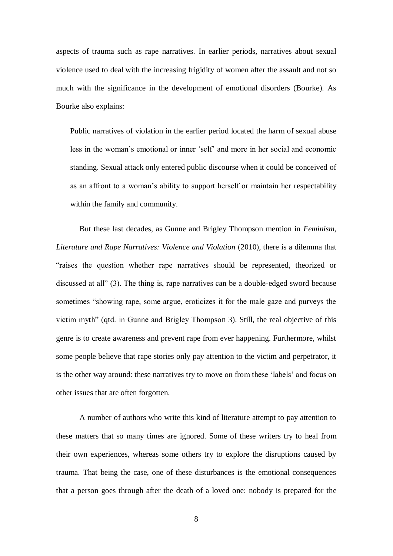aspects of trauma such as rape narratives. In earlier periods, narratives about sexual violence used to deal with the increasing frigidity of women after the assault and not so much with the significance in the development of emotional disorders (Bourke). As Bourke also explains:

Public narratives of violation in the earlier period located the harm of sexual abuse less in the woman's emotional or inner 'self' and more in her social and economic standing. Sexual attack only entered public discourse when it could be conceived of as an affront to a woman's ability to support herself or maintain her respectability within the family and community.

But these last decades, as Gunne and Brigley Thompson mention in *Feminism, Literature and Rape Narratives: Violence and Violation* (2010), there is a dilemma that "raises the question whether rape narratives should be represented, theorized or discussed at all" (3). The thing is, rape narratives can be a double-edged sword because sometimes "showing rape, some argue, eroticizes it for the male gaze and purveys the victim myth" (qtd. in Gunne and Brigley Thompson 3). Still, the real objective of this genre is to create awareness and prevent rape from ever happening. Furthermore, whilst some people believe that rape stories only pay attention to the victim and perpetrator, it is the other way around: these narratives try to move on from these 'labels' and focus on other issues that are often forgotten.

A number of authors who write this kind of literature attempt to pay attention to these matters that so many times are ignored. Some of these writers try to heal from their own experiences, whereas some others try to explore the disruptions caused by trauma. That being the case, one of these disturbances is the emotional consequences that a person goes through after the death of a loved one: nobody is prepared for the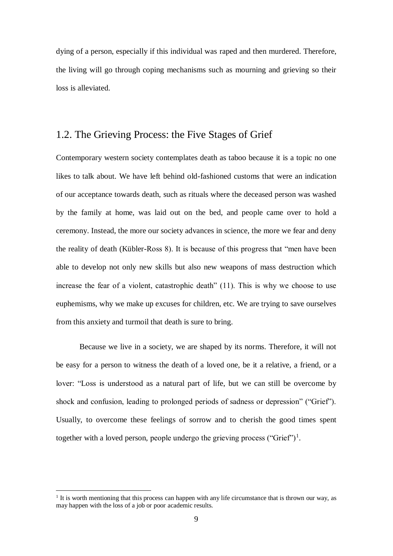dying of a person, especially if this individual was raped and then murdered. Therefore, the living will go through coping mechanisms such as mourning and grieving so their loss is alleviated.

### 1.2. The Grieving Process: the Five Stages of Grief

Contemporary western society contemplates death as taboo because it is a topic no one likes to talk about. We have left behind old-fashioned customs that were an indication of our acceptance towards death, such as rituals where the deceased person was washed by the family at home, was laid out on the bed, and people came over to hold a ceremony. Instead, the more our society advances in science, the more we fear and deny the reality of death (Kübler-Ross 8). It is because of this progress that "men have been able to develop not only new skills but also new weapons of mass destruction which increase the fear of a violent, catastrophic death" (11). This is why we choose to use euphemisms, why we make up excuses for children, etc. We are trying to save ourselves from this anxiety and turmoil that death is sure to bring.

Because we live in a society, we are shaped by its norms. Therefore, it will not be easy for a person to witness the death of a loved one, be it a relative, a friend, or a lover: "Loss is understood as a natural part of life, but we can still be overcome by shock and confusion, leading to prolonged periods of sadness or depression" ("Grief"). Usually, to overcome these feelings of sorrow and to cherish the good times spent together with a loved person, people undergo the grieving process ("Grief")<sup>1</sup>.

 $\overline{a}$ 

<sup>&</sup>lt;sup>1</sup> It is worth mentioning that this process can happen with any life circumstance that is thrown our way, as may happen with the loss of a job or poor academic results.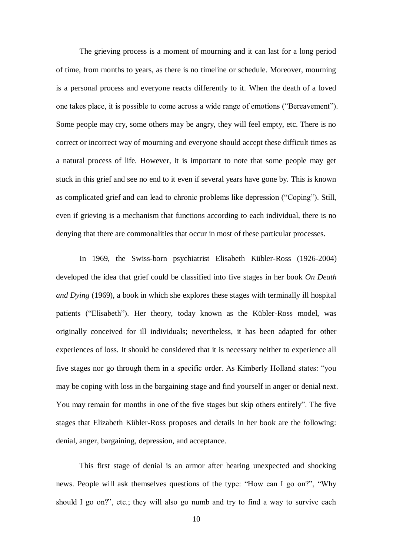The grieving process is a moment of mourning and it can last for a long period of time, from months to years, as there is no timeline or schedule. Moreover, mourning is a personal process and everyone reacts differently to it. When the death of a loved one takes place, it is possible to come across a wide range of emotions ("Bereavement"). Some people may cry, some others may be angry, they will feel empty, etc. There is no correct or incorrect way of mourning and everyone should accept these difficult times as a natural process of life. However, it is important to note that some people may get stuck in this grief and see no end to it even if several years have gone by. This is known as complicated grief and can lead to chronic problems like depression ("Coping"). Still, even if grieving is a mechanism that functions according to each individual, there is no denying that there are commonalities that occur in most of these particular processes.

In 1969, the Swiss-born psychiatrist Elisabeth Kübler-Ross (1926-2004) developed the idea that grief could be classified into five stages in her book *On Death and Dying* (1969), a book in which she explores these stages with terminally ill hospital patients ("Elisabeth"). Her theory, today known as the Kübler-Ross model, was originally conceived for ill individuals; nevertheless, it has been adapted for other experiences of loss. It should be considered that it is necessary neither to experience all five stages nor go through them in a specific order. As Kimberly Holland states: "you may be coping with loss in the bargaining stage and find yourself in anger or denial next. You may remain for months in one of the five stages but skip others entirely". The five stages that Elizabeth Kübler-Ross proposes and details in her book are the following: denial, anger, bargaining, depression, and acceptance.

This first stage of denial is an armor after hearing unexpected and shocking news. People will ask themselves questions of the type: "How can I go on?", "Why should I go on?", etc.; they will also go numb and try to find a way to survive each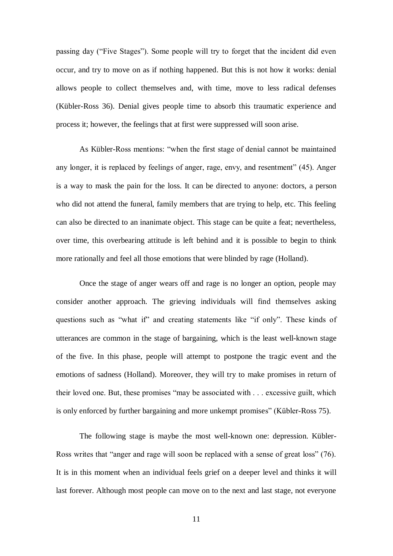passing day ("Five Stages"). Some people will try to forget that the incident did even occur, and try to move on as if nothing happened. But this is not how it works: denial allows people to collect themselves and, with time, move to less radical defenses (Kübler-Ross 36). Denial gives people time to absorb this traumatic experience and process it; however, the feelings that at first were suppressed will soon arise.

As Kübler-Ross mentions: "when the first stage of denial cannot be maintained any longer, it is replaced by feelings of anger, rage, envy, and resentment" (45). Anger is a way to mask the pain for the loss. It can be directed to anyone: doctors, a person who did not attend the funeral, family members that are trying to help, etc. This feeling can also be directed to an inanimate object. This stage can be quite a feat; nevertheless, over time, this overbearing attitude is left behind and it is possible to begin to think more rationally and feel all those emotions that were blinded by rage (Holland).

Once the stage of anger wears off and rage is no longer an option, people may consider another approach. The grieving individuals will find themselves asking questions such as "what if" and creating statements like "if only". These kinds of utterances are common in the stage of bargaining, which is the least well-known stage of the five. In this phase, people will attempt to postpone the tragic event and the emotions of sadness (Holland). Moreover, they will try to make promises in return of their loved one. But, these promises "may be associated with . . . excessive guilt, which is only enforced by further bargaining and more unkempt promises" (Kübler-Ross 75).

The following stage is maybe the most well-known one: depression. Kübler-Ross writes that "anger and rage will soon be replaced with a sense of great loss" (76). It is in this moment when an individual feels grief on a deeper level and thinks it will last forever. Although most people can move on to the next and last stage, not everyone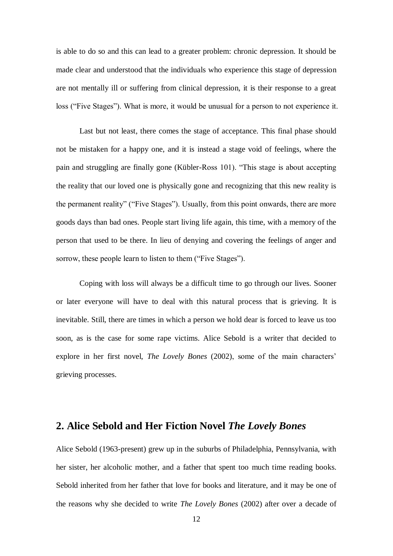is able to do so and this can lead to a greater problem: chronic depression. It should be made clear and understood that the individuals who experience this stage of depression are not mentally ill or suffering from clinical depression, it is their response to a great loss ("Five Stages"). What is more, it would be unusual for a person to not experience it.

Last but not least, there comes the stage of acceptance. This final phase should not be mistaken for a happy one, and it is instead a stage void of feelings, where the pain and struggling are finally gone (Kübler-Ross 101). "This stage is about accepting the reality that our loved one is physically gone and recognizing that this new reality is the permanent reality" ("Five Stages"). Usually, from this point onwards, there are more goods days than bad ones. People start living life again, this time, with a memory of the person that used to be there. In lieu of denying and covering the feelings of anger and sorrow, these people learn to listen to them ("Five Stages").

Coping with loss will always be a difficult time to go through our lives. Sooner or later everyone will have to deal with this natural process that is grieving. It is inevitable. Still, there are times in which a person we hold dear is forced to leave us too soon, as is the case for some rape victims. Alice Sebold is a writer that decided to explore in her first novel, *The Lovely Bones* (2002), some of the main characters' grieving processes.

#### **2. Alice Sebold and Her Fiction Novel** *The Lovely Bones*

Alice Sebold (1963-present) grew up in the suburbs of Philadelphia, Pennsylvania, with her sister, her alcoholic mother, and a father that spent too much time reading books. Sebold inherited from her father that love for books and literature, and it may be one of the reasons why she decided to write *The Lovely Bones* (2002) after over a decade of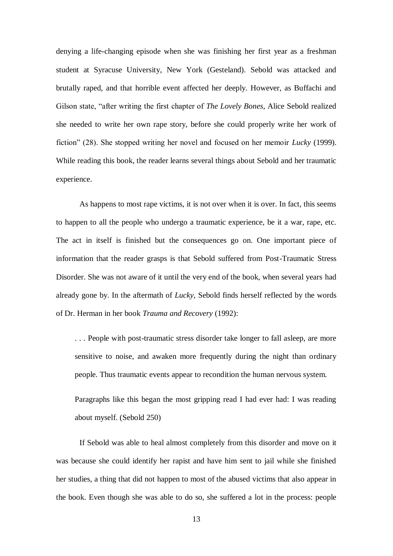denying a life-changing episode when she was finishing her first year as a freshman student at Syracuse University, New York (Gesteland). Sebold was attacked and brutally raped, and that horrible event affected her deeply. However, as Buffachi and Gilson state, "after writing the first chapter of *The Lovely Bones*, Alice Sebold realized she needed to write her own rape story, before she could properly write her work of fiction" (28). She stopped writing her novel and focused on her memoir *Lucky* (1999). While reading this book, the reader learns several things about Sebold and her traumatic experience.

As happens to most rape victims, it is not over when it is over. In fact, this seems to happen to all the people who undergo a traumatic experience, be it a war, rape, etc. The act in itself is finished but the consequences go on. One important piece of information that the reader grasps is that Sebold suffered from Post-Traumatic Stress Disorder. She was not aware of it until the very end of the book, when several years had already gone by. In the aftermath of *Lucky*, Sebold finds herself reflected by the words of Dr. Herman in her book *Trauma and Recovery* (1992):

. . . People with post-traumatic stress disorder take longer to fall asleep, are more sensitive to noise, and awaken more frequently during the night than ordinary people. Thus traumatic events appear to recondition the human nervous system.

Paragraphs like this began the most gripping read I had ever had: I was reading about myself. (Sebold 250)

If Sebold was able to heal almost completely from this disorder and move on it was because she could identify her rapist and have him sent to jail while she finished her studies, a thing that did not happen to most of the abused victims that also appear in the book. Even though she was able to do so, she suffered a lot in the process: people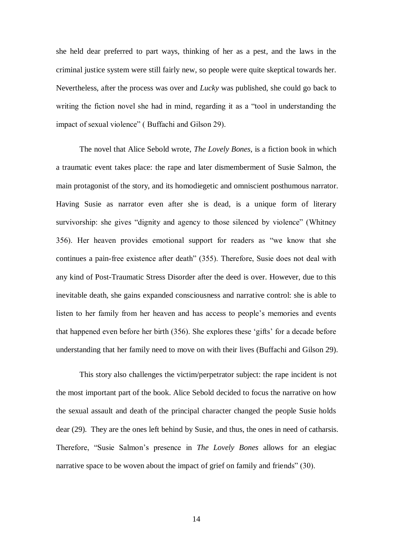she held dear preferred to part ways, thinking of her as a pest, and the laws in the criminal justice system were still fairly new, so people were quite skeptical towards her. Nevertheless, after the process was over and *Lucky* was published, she could go back to writing the fiction novel she had in mind, regarding it as a "tool in understanding the impact of sexual violence" ( Buffachi and Gilson 29).

The novel that Alice Sebold wrote, *The Lovely Bones*, is a fiction book in which a traumatic event takes place: the rape and later dismemberment of Susie Salmon, the main protagonist of the story, and its homodiegetic and omniscient posthumous narrator. Having Susie as narrator even after she is dead, is a unique form of literary survivorship: she gives "dignity and agency to those silenced by violence" (Whitney 356). Her heaven provides emotional support for readers as "we know that she continues a pain-free existence after death" (355). Therefore, Susie does not deal with any kind of Post-Traumatic Stress Disorder after the deed is over. However, due to this inevitable death, she gains expanded consciousness and narrative control: she is able to listen to her family from her heaven and has access to people's memories and events that happened even before her birth (356). She explores these 'gifts' for a decade before understanding that her family need to move on with their lives (Buffachi and Gilson 29).

This story also challenges the victim/perpetrator subject: the rape incident is not the most important part of the book. Alice Sebold decided to focus the narrative on how the sexual assault and death of the principal character changed the people Susie holds dear (29). They are the ones left behind by Susie, and thus, the ones in need of catharsis. Therefore, "Susie Salmon's presence in *The Lovely Bones* allows for an elegiac narrative space to be woven about the impact of grief on family and friends" (30).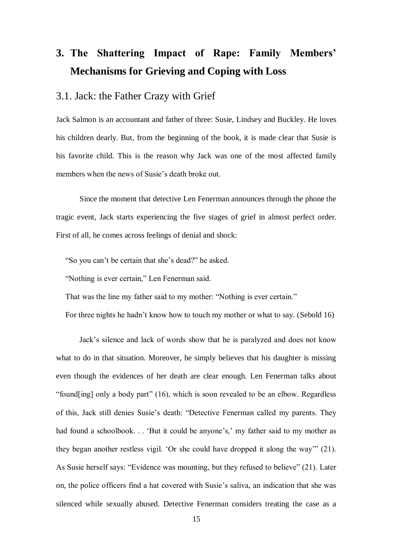# **3. The Shattering Impact of Rape: Family Members' Mechanisms for Grieving and Coping with Loss**

#### 3.1. Jack: the Father Crazy with Grief

Jack Salmon is an accountant and father of three: Susie, Lindsey and Buckley. He loves his children dearly. But, from the beginning of the book, it is made clear that Susie is his favorite child. This is the reason why Jack was one of the most affected family members when the news of Susie's death broke out.

Since the moment that detective Len Fenerman announces through the phone the tragic event, Jack starts experiencing the five stages of grief in almost perfect order. First of all, he comes across feelings of denial and shock:

"So you can't be certain that she's dead?" he asked.

"Nothing is ever certain," Len Fenerman said.

That was the line my father said to my mother: "Nothing is ever certain."

For three nights he hadn't know how to touch my mother or what to say. (Sebold 16)

Jack's silence and lack of words show that he is paralyzed and does not know what to do in that situation. Moreover, he simply believes that his daughter is missing even though the evidences of her death are clear enough. Len Fenerman talks about "found[ing] only a body part" (16), which is soon revealed to be an elbow. Regardless of this, Jack still denies Susie's death: "Detective Fenerman called my parents. They had found a schoolbook. . . 'But it could be anyone's,' my father said to my mother as they began another restless vigil. 'Or she could have dropped it along the way'" (21). As Susie herself says: "Evidence was mounting, but they refused to believe" (21). Later on, the police officers find a hat covered with Susie's saliva, an indication that she was silenced while sexually abused. Detective Fenerman considers treating the case as a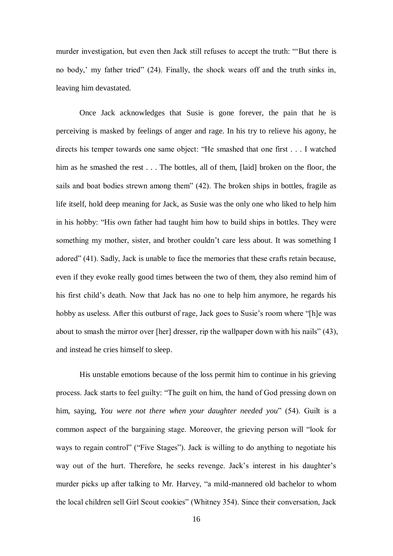murder investigation, but even then Jack still refuses to accept the truth: "'But there is no body,' my father tried" (24). Finally, the shock wears off and the truth sinks in, leaving him devastated.

Once Jack acknowledges that Susie is gone forever, the pain that he is perceiving is masked by feelings of anger and rage. In his try to relieve his agony, he directs his temper towards one same object: "He smashed that one first . . . I watched him as he smashed the rest . . . The bottles, all of them, [laid] broken on the floor, the sails and boat bodies strewn among them" (42). The broken ships in bottles, fragile as life itself, hold deep meaning for Jack, as Susie was the only one who liked to help him in his hobby: "His own father had taught him how to build ships in bottles. They were something my mother, sister, and brother couldn't care less about. It was something I adored" (41). Sadly, Jack is unable to face the memories that these crafts retain because, even if they evoke really good times between the two of them, they also remind him of his first child's death. Now that Jack has no one to help him anymore, he regards his hobby as useless. After this outburst of rage, Jack goes to Susie's room where "[h]e was about to smash the mirror over [her] dresser, rip the wallpaper down with his nails" (43), and instead he cries himself to sleep.

His unstable emotions because of the loss permit him to continue in his grieving process. Jack starts to feel guilty: "The guilt on him, the hand of God pressing down on him, saying, *You were not there when your daughter needed you*" (54). Guilt is a common aspect of the bargaining stage. Moreover, the grieving person will "look for ways to regain control" ("Five Stages"). Jack is willing to do anything to negotiate his way out of the hurt. Therefore, he seeks revenge. Jack's interest in his daughter's murder picks up after talking to Mr. Harvey, "a mild-mannered old bachelor to whom the local children sell Girl Scout cookies" (Whitney 354). Since their conversation, Jack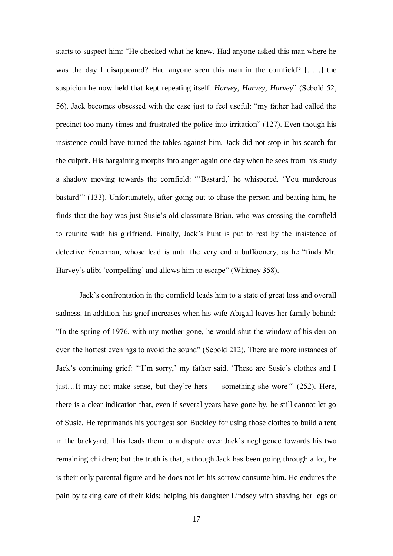starts to suspect him: "He checked what he knew. Had anyone asked this man where he was the day I disappeared? Had anyone seen this man in the cornfield? [. . .] the suspicion he now held that kept repeating itself. *Harvey, Harvey, Harvey*" (Sebold 52, 56). Jack becomes obsessed with the case just to feel useful: "my father had called the precinct too many times and frustrated the police into irritation" (127). Even though his insistence could have turned the tables against him, Jack did not stop in his search for the culprit. His bargaining morphs into anger again one day when he sees from his study a shadow moving towards the cornfield: "'Bastard,' he whispered. 'You murderous bastard'" (133). Unfortunately, after going out to chase the person and beating him, he finds that the boy was just Susie's old classmate Brian, who was crossing the cornfield to reunite with his girlfriend. Finally, Jack's hunt is put to rest by the insistence of detective Fenerman, whose lead is until the very end a buffoonery, as he "finds Mr. Harvey's alibi 'compelling' and allows him to escape" (Whitney 358).

Jack's confrontation in the cornfield leads him to a state of great loss and overall sadness. In addition, his grief increases when his wife Abigail leaves her family behind: "In the spring of 1976, with my mother gone, he would shut the window of his den on even the hottest evenings to avoid the sound" (Sebold 212). There are more instances of Jack's continuing grief: "'I'm sorry,' my father said. 'These are Susie's clothes and I just…It may not make sense, but they're hers — something she wore'" (252). Here, there is a clear indication that, even if several years have gone by, he still cannot let go of Susie. He reprimands his youngest son Buckley for using those clothes to build a tent in the backyard. This leads them to a dispute over Jack's negligence towards his two remaining children; but the truth is that, although Jack has been going through a lot, he is their only parental figure and he does not let his sorrow consume him. He endures the pain by taking care of their kids: helping his daughter Lindsey with shaving her legs or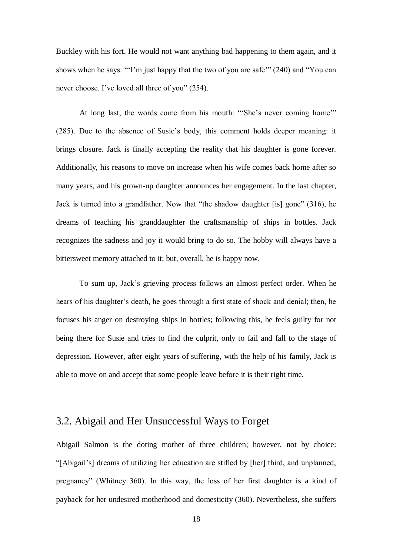Buckley with his fort. He would not want anything bad happening to them again, and it shows when he says: "'I'm just happy that the two of you are safe'" (240) and "You can never choose. I've loved all three of you" (254).

At long last, the words come from his mouth: "'She's never coming home'" (285). Due to the absence of Susie's body, this comment holds deeper meaning: it brings closure. Jack is finally accepting the reality that his daughter is gone forever. Additionally, his reasons to move on increase when his wife comes back home after so many years, and his grown-up daughter announces her engagement. In the last chapter, Jack is turned into a grandfather. Now that "the shadow daughter [is] gone" (316), he dreams of teaching his granddaughter the craftsmanship of ships in bottles. Jack recognizes the sadness and joy it would bring to do so. The hobby will always have a bittersweet memory attached to it; but, overall, he is happy now.

To sum up, Jack's grieving process follows an almost perfect order. When he hears of his daughter's death, he goes through a first state of shock and denial; then, he focuses his anger on destroying ships in bottles; following this, he feels guilty for not being there for Susie and tries to find the culprit, only to fail and fall to the stage of depression. However, after eight years of suffering, with the help of his family, Jack is able to move on and accept that some people leave before it is their right time.

#### 3.2. Abigail and Her Unsuccessful Ways to Forget

Abigail Salmon is the doting mother of three children; however, not by choice: "[Abigail's] dreams of utilizing her education are stifled by [her] third, and unplanned, pregnancy" (Whitney 360). In this way, the loss of her first daughter is a kind of payback for her undesired motherhood and domesticity (360). Nevertheless, she suffers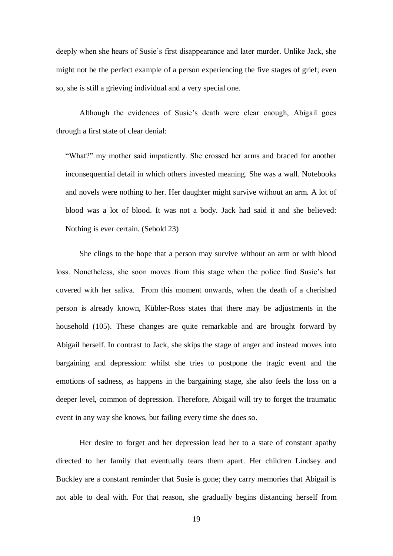deeply when she hears of Susie's first disappearance and later murder. Unlike Jack, she might not be the perfect example of a person experiencing the five stages of grief; even so, she is still a grieving individual and a very special one.

Although the evidences of Susie's death were clear enough, Abigail goes through a first state of clear denial:

"What?" my mother said impatiently. She crossed her arms and braced for another inconsequential detail in which others invested meaning. She was a wall. Notebooks and novels were nothing to her. Her daughter might survive without an arm. A lot of blood was a lot of blood. It was not a body. Jack had said it and she believed: Nothing is ever certain. (Sebold 23)

She clings to the hope that a person may survive without an arm or with blood loss. Nonetheless, she soon moves from this stage when the police find Susie's hat covered with her saliva. From this moment onwards, when the death of a cherished person is already known, Kübler-Ross states that there may be adjustments in the household (105). These changes are quite remarkable and are brought forward by Abigail herself. In contrast to Jack, she skips the stage of anger and instead moves into bargaining and depression: whilst she tries to postpone the tragic event and the emotions of sadness, as happens in the bargaining stage, she also feels the loss on a deeper level, common of depression. Therefore, Abigail will try to forget the traumatic event in any way she knows, but failing every time she does so.

Her desire to forget and her depression lead her to a state of constant apathy directed to her family that eventually tears them apart. Her children Lindsey and Buckley are a constant reminder that Susie is gone; they carry memories that Abigail is not able to deal with. For that reason, she gradually begins distancing herself from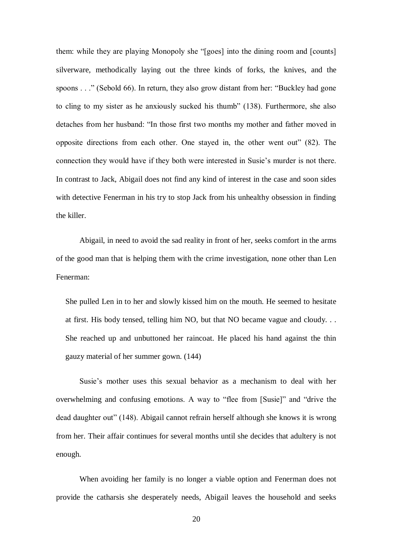them: while they are playing Monopoly she "[goes] into the dining room and [counts] silverware, methodically laying out the three kinds of forks, the knives, and the spoons . . ." (Sebold 66). In return, they also grow distant from her: "Buckley had gone to cling to my sister as he anxiously sucked his thumb" (138). Furthermore, she also detaches from her husband: "In those first two months my mother and father moved in opposite directions from each other. One stayed in, the other went out" (82). The connection they would have if they both were interested in Susie's murder is not there. In contrast to Jack, Abigail does not find any kind of interest in the case and soon sides with detective Fenerman in his try to stop Jack from his unhealthy obsession in finding the killer.

Abigail, in need to avoid the sad reality in front of her, seeks comfort in the arms of the good man that is helping them with the crime investigation, none other than Len Fenerman:

She pulled Len in to her and slowly kissed him on the mouth. He seemed to hesitate at first. His body tensed, telling him NO, but that NO became vague and cloudy. . . She reached up and unbuttoned her raincoat. He placed his hand against the thin gauzy material of her summer gown. (144)

Susie's mother uses this sexual behavior as a mechanism to deal with her overwhelming and confusing emotions. A way to "flee from [Susie]" and "drive the dead daughter out" (148). Abigail cannot refrain herself although she knows it is wrong from her. Their affair continues for several months until she decides that adultery is not enough.

When avoiding her family is no longer a viable option and Fenerman does not provide the catharsis she desperately needs, Abigail leaves the household and seeks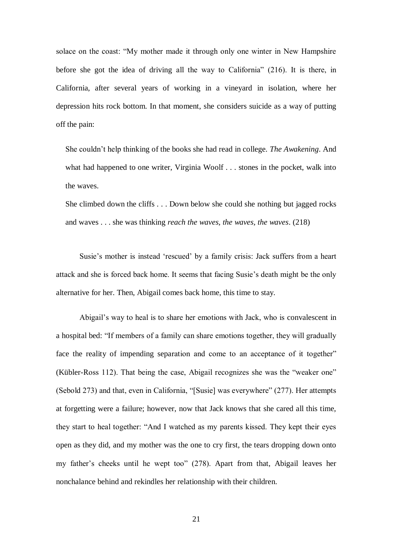solace on the coast: "My mother made it through only one winter in New Hampshire before she got the idea of driving all the way to California" (216). It is there, in California, after several years of working in a vineyard in isolation, where her depression hits rock bottom. In that moment, she considers suicide as a way of putting off the pain:

She couldn't help thinking of the books she had read in college. *The Awakening*. And what had happened to one writer, Virginia Woolf . . . stones in the pocket, walk into the waves.

She climbed down the cliffs . . . Down below she could she nothing but jagged rocks and waves . . . she was thinking *reach the waves, the waves, the waves*. (218)

Susie's mother is instead 'rescued' by a family crisis: Jack suffers from a heart attack and she is forced back home. It seems that facing Susie's death might be the only alternative for her. Then, Abigail comes back home, this time to stay.

Abigail's way to heal is to share her emotions with Jack, who is convalescent in a hospital bed: "If members of a family can share emotions together, they will gradually face the reality of impending separation and come to an acceptance of it together" (Kübler-Ross 112). That being the case, Abigail recognizes she was the "weaker one" (Sebold 273) and that, even in California, "[Susie] was everywhere" (277). Her attempts at forgetting were a failure; however, now that Jack knows that she cared all this time, they start to heal together: "And I watched as my parents kissed. They kept their eyes open as they did, and my mother was the one to cry first, the tears dropping down onto my father's cheeks until he wept too" (278). Apart from that, Abigail leaves her nonchalance behind and rekindles her relationship with their children.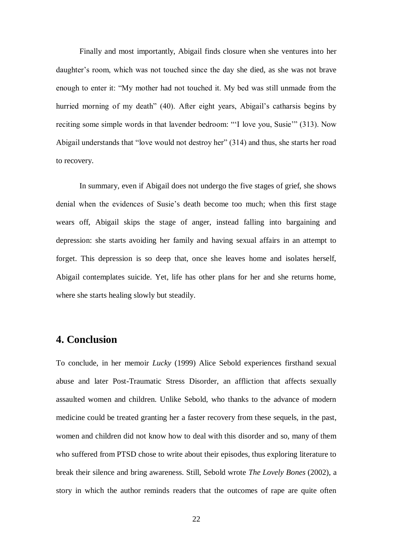Finally and most importantly, Abigail finds closure when she ventures into her daughter's room, which was not touched since the day she died, as she was not brave enough to enter it: "My mother had not touched it. My bed was still unmade from the hurried morning of my death" (40). After eight years, Abigail's catharsis begins by reciting some simple words in that lavender bedroom: "'I love you, Susie'" (313). Now Abigail understands that "love would not destroy her" (314) and thus, she starts her road to recovery.

In summary, even if Abigail does not undergo the five stages of grief, she shows denial when the evidences of Susie's death become too much; when this first stage wears off, Abigail skips the stage of anger, instead falling into bargaining and depression: she starts avoiding her family and having sexual affairs in an attempt to forget. This depression is so deep that, once she leaves home and isolates herself, Abigail contemplates suicide. Yet, life has other plans for her and she returns home, where she starts healing slowly but steadily.

### **4. Conclusion**

To conclude, in her memoir *Lucky* (1999) Alice Sebold experiences firsthand sexual abuse and later Post-Traumatic Stress Disorder, an affliction that affects sexually assaulted women and children. Unlike Sebold, who thanks to the advance of modern medicine could be treated granting her a faster recovery from these sequels, in the past, women and children did not know how to deal with this disorder and so, many of them who suffered from PTSD chose to write about their episodes, thus exploring literature to break their silence and bring awareness. Still, Sebold wrote *The Lovely Bones* (2002), a story in which the author reminds readers that the outcomes of rape are quite often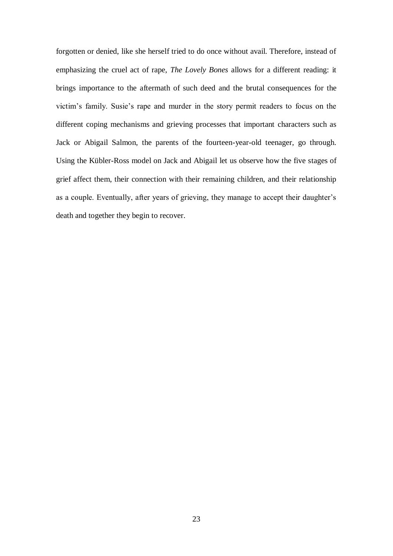forgotten or denied, like she herself tried to do once without avail. Therefore, instead of emphasizing the cruel act of rape, *The Lovely Bones* allows for a different reading: it brings importance to the aftermath of such deed and the brutal consequences for the victim's family. Susie's rape and murder in the story permit readers to focus on the different coping mechanisms and grieving processes that important characters such as Jack or Abigail Salmon, the parents of the fourteen-year-old teenager, go through. Using the Kübler-Ross model on Jack and Abigail let us observe how the five stages of grief affect them, their connection with their remaining children, and their relationship as a couple. Eventually, after years of grieving, they manage to accept their daughter's death and together they begin to recover.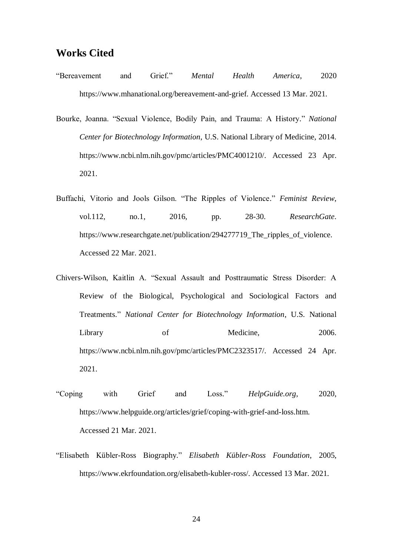#### **Works Cited**

- "Bereavement and Grief." *Mental Health America*, 2020 https://www.mhanational.org/bereavement-and-grief. Accessed 13 Mar. 2021.
- Bourke, Joanna. "Sexual Violence, Bodily Pain, and Trauma: A History." *National Center for Biotechnology Information*, U.S. National Library of Medicine, 2014. https://www.ncbi.nlm.nih.gov/pmc/articles/PMC4001210/. Accessed 23 Apr. 2021.
- Buffachi, Vitorio and Jools Gilson. "The Ripples of Violence." *Feminist Review*, vol.112, no.1, 2016, pp. 28-30. *ResearchGate*. https://www.researchgate.net/publication/294277719\_The\_ripples\_of\_violence. Accessed 22 Mar. 2021.
- Chivers-Wilson, Kaitlin A. "Sexual Assault and Posttraumatic Stress Disorder: A Review of the Biological, Psychological and Sociological Factors and Treatments." *National Center for Biotechnology Information*, U.S. National Library of Medicine, 2006. https://www.ncbi.nlm.nih.gov/pmc/articles/PMC2323517/. Accessed 24 Apr. 2021.
- "Coping with Grief and Loss." *HelpGuide.org*, 2020, https://www.helpguide.org/articles/grief/coping-with-grief-and-loss.htm. Accessed 21 Mar. 2021.
- "Elisabeth Kübler-Ross Biography." *Elisabeth Kübler-Ross Foundation*, 2005, https://www.ekrfoundation.org/elisabeth-kubler-ross/. Accessed 13 Mar. 2021.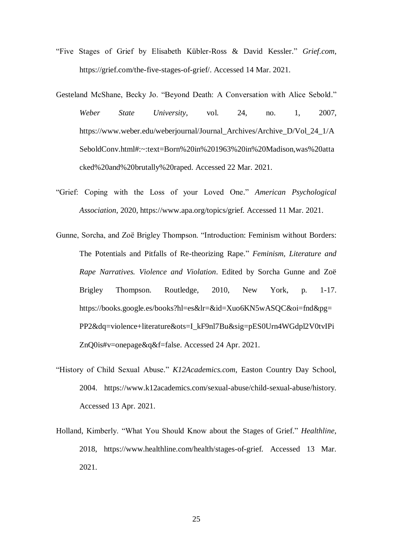- "Five Stages of Grief by Elisabeth Kübler-Ross & David Kessler." *Grief.com*, https://grief.com/the-five-stages-of-grief/. Accessed 14 Mar. 2021.
- Gesteland McShane, Becky Jo. "Beyond Death: A Conversation with Alice Sebold." *Weber State University*, vol. 24, no. 1, 2007, https://www.weber.edu/weberjournal/Journal\_Archives/Archive\_D/Vol\_24\_1/A SeboldConv.html#:~:text=Born%20in%201963%20in%20Madison,was%20atta cked%20and%20brutally%20raped. Accessed 22 Mar. 2021.
- "Grief: Coping with the Loss of your Loved One." *American Psychological Association*, 2020, https://www.apa.org/topics/grief. Accessed 11 Mar. 2021.
- Gunne, Sorcha, and Zoë Brigley Thompson. "Introduction: Feminism without Borders: The Potentials and Pitfalls of Re-theorizing Rape." *Feminism, Literature and Rape Narratives. Violence and Violation*. Edited by Sorcha Gunne and Zoë Brigley Thompson. Routledge, 2010, New York, p. 1-17. https://books.google.es/books?hl=es&lr=&id=Xuo6KN5wASQC&oi=fnd&pg= PP2&dq=violence+literature&ots=I\_kF9nl7Bu&sig=pES0Urn4WGdpl2V0tvIPi ZnQ0is#v=onepage&q&f=false. Accessed 24 Apr. 2021.
- "History of Child Sexual Abuse." *K12Academics.com*, Easton Country Day School, 2004. https://www.k12academics.com/sexual-abuse/child-sexual-abuse/history. Accessed 13 Apr. 2021.
- Holland, Kimberly. "What You Should Know about the Stages of Grief." *Healthline*, 2018, https://www.healthline.com/health/stages-of-grief. Accessed 13 Mar. 2021.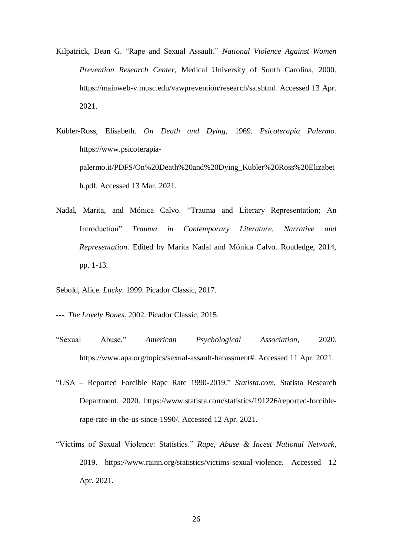- Kilpatrick, Dean G. "Rape and Sexual Assault." *National Violence Against Women Prevention Research Center*, Medical University of South Carolina, 2000. https://mainweb-v.musc.edu/vawprevention/research/sa.shtml. Accessed 13 Apr. 2021.
- Kübler-Ross, Elisabeth. *On Death and Dying*, 1969. *Psicoterapia Palermo.*  https://www.psicoterapiapalermo.it/PDFS/On%20Death%20and%20Dying\_Kubler%20Ross%20Elizabet h.pdf. Accessed 13 Mar. 2021.
- Nadal, Marita, and Mónica Calvo. "Trauma and Literary Representation; An Introduction" *Trauma in Contemporary Literature. Narrative and Representation*. Edited by Marita Nadal and Mónica Calvo. Routledge, 2014, pp. 1-13.
- Sebold, Alice. *Lucky*. 1999. Picador Classic, 2017.
- ---. *The Lovely Bones*. 2002. Picador Classic, 2015.
- "Sexual Abuse." *American Psychological Association*, 2020. https://www.apa.org/topics/sexual-assault-harassment#. Accessed 11 Apr. 2021.
- "USA Reported Forcible Rape Rate 1990-2019." *Statista.com*, Statista Research Department, 2020. https://www.statista.com/statistics/191226/reported-forciblerape-rate-in-the-us-since-1990/. Accessed 12 Apr. 2021.
- "Victims of Sexual Violence: Statistics." *Rape, Abuse & Incest National Network*, 2019. https://www.rainn.org/statistics/victims-sexual-violence. Accessed 12 Apr. 2021.